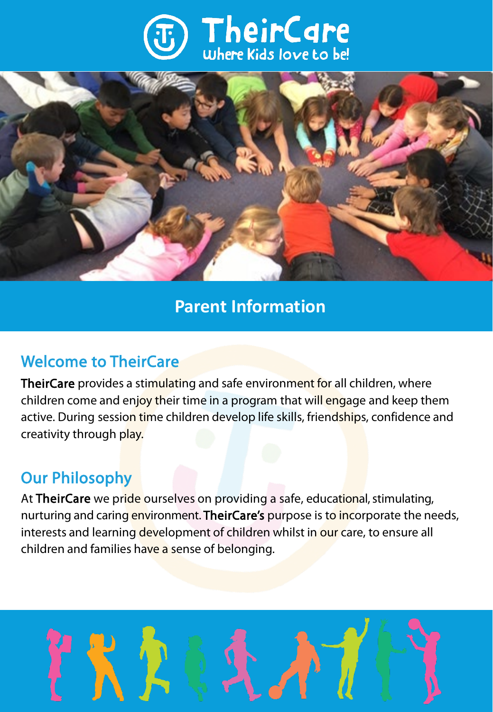



# **Parent Information**

# Welcome to TheirCare

TheirCare provides a stimulating and safe environment for all children, where children come and enjoy their time in a program that will engage and keep them active. During session time children develop life skills, friendships, confidence and creativity through play.

# Our Philosophy

At TheirCare we pride ourselves on providing a safe, educational, stimulating, nurturing and caring environment. TheirCare's purpose is to incorporate the needs, interests and learning development of children whilst in our care, to ensure all children and families have a sense of belonging.

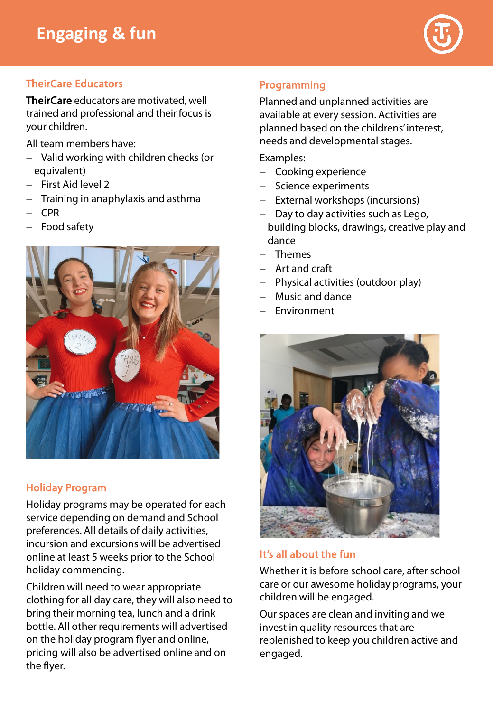

# TheirCare Educators

TheirCare educators are motivated, well trained and professional and their focus is your children.

All team members have:

- − Valid working with children checks (or equivalent)
- − First Aid level 2
- − Training in anaphylaxis and asthma
- − CPR
- − Food safety



# Holiday Program

Holiday programs may be operated for each service depending on demand and School preferences. All details of daily activities, incursion and excursions will be advertised online at least 5 weeks prior to the School holiday commencing.

Children will need to wear appropriate clothing for all day care, they will also need to bring their morning tea, lunch and a drink bottle. All other requirements will advertised on the holiday program flyer and online, pricing will also be advertised online and on the flyer.

# Programming

Planned and unplanned activities are available at every session. Activities are planned based on the childrens' interest, needs and developmental stages.

Examples:

- − Cooking experience
- − Science experiments
- − External workshops (incursions)
- Day to day activities such as Lego, building blocks, drawings, creative play and dance
- − Themes
- − Art and craft
- − Physical activities (outdoor play)
- − Music and dance
- − Environment



# It's all about the fun

Whether it is before school care, after school care or our awesome holiday programs, your children will be engaged.

Our spaces are clean and inviting and we invest in quality resources that are replenished to keep you children active and engaged.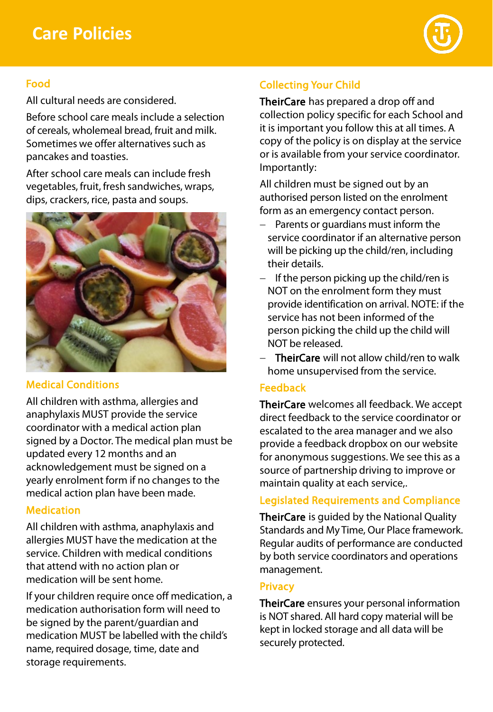# **Care Policies**



# Food

All cultural needs are considered.

Before school care meals include a selection of cereals, wholemeal bread, fruit and milk. Sometimes we offer alternatives such as pancakes and toasties.

After school care meals can include fresh vegetables, fruit, fresh sandwiches, wraps, dips, crackers, rice, pasta and soups.



## Medical Conditions

All children with asthma, allergies and anaphylaxis MUST provide the service coordinator with a medical action plan signed by a Doctor. The medical plan must be updated every 12 months and an acknowledgement must be signed on a yearly enrolment form if no changes to the medical action plan have been made.

## Medication

All children with asthma, anaphylaxis and allergies MUST have the medication at the service. Children with medical conditions that attend with no action plan or medication will be sent home.

If your children require once off medication, a medication authorisation form will need to be signed by the parent/guardian and medication MUST be labelled with the child's name, required dosage, time, date and storage requirements.

# Collecting Your Child

TheirCare has prepared a drop off and collection policy specific for each School and it is important you follow this at all times. A copy of the policy is on display at the service or is available from your service coordinator. Importantly:

All children must be signed out by an authorised person listed on the enrolment form as an emergency contact person.

- − Parents or guardians must inform the service coordinator if an alternative person will be picking up the child/ren, including their details.
- − If the person picking up the child/ren is NOT on the enrolment form they must provide identification on arrival. NOTE: if the service has not been informed of the person picking the child up the child will NOT be released.
- − TheirCare will not allow child/ren to walk home unsupervised from the service.

#### Feedback

TheirCare welcomes all feedback. We accept direct feedback to the service coordinator or escalated to the area manager and we also provide a feedback dropbox on our website for anonymous suggestions. We see this as a source of partnership driving to improve or maintain quality at each service,.

# Legislated Requirements and Compliance

TheirCare is guided by the National Quality Standards and My Time, Our Place framework. Regular audits of performance are conducted by both service coordinators and operations management.

#### **Privacy**

TheirCare ensures your personal information is NOT shared. All hard copy material will be kept in locked storage and all data will be securely protected.